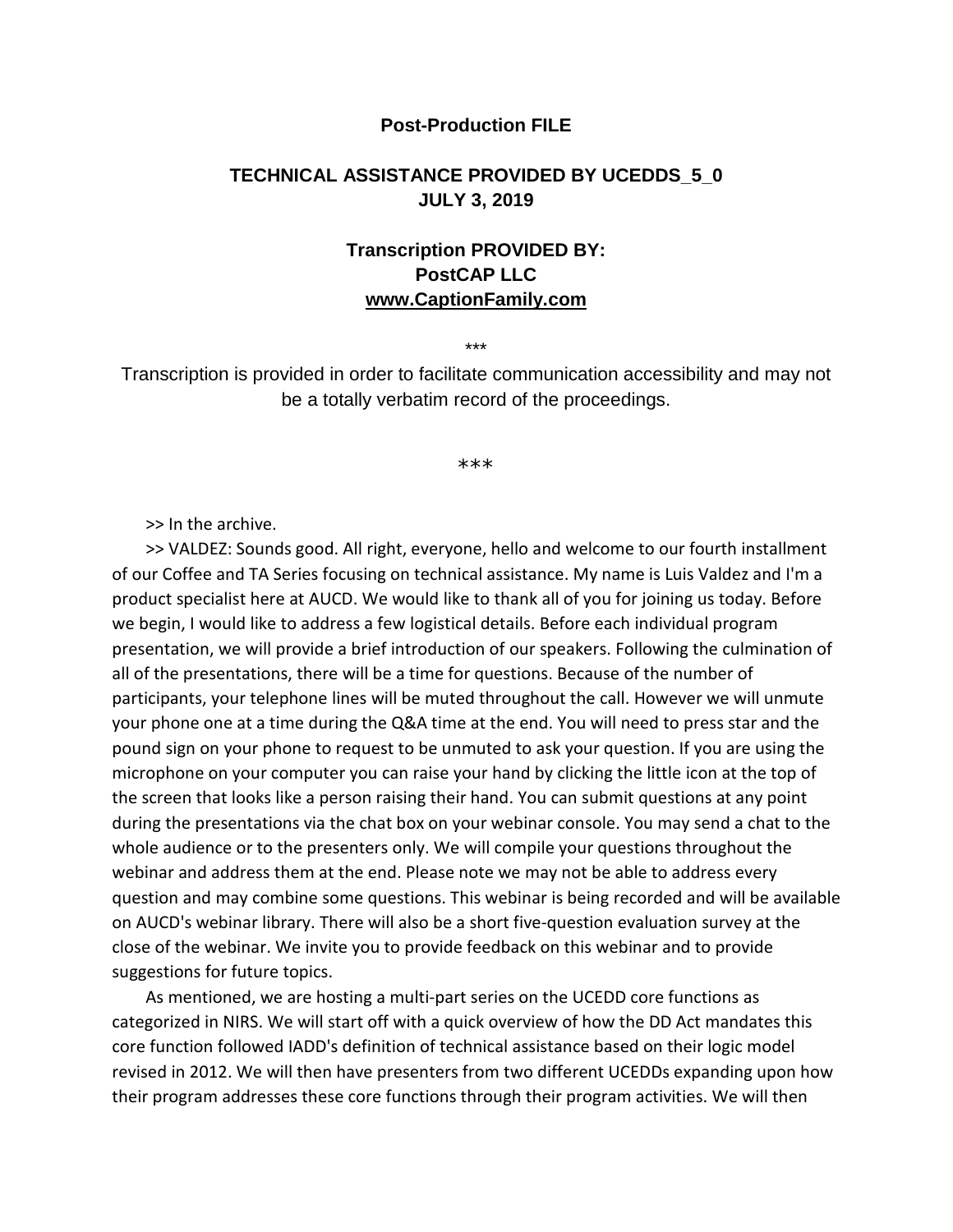## **Post-Production FILE**

## **TECHNICAL ASSISTANCE PROVIDED BY UCEDDS\_5\_0 JULY 3, 2019**

## **Transcription PROVIDED BY: PostCAP LLC www.CaptionFamily.com**

\*\*\*

Transcription is provided in order to facilitate communication accessibility and may not be a totally verbatim record of the proceedings.

\*\*\*

>> In the archive.

>> VALDEZ: Sounds good. All right, everyone, hello and welcome to our fourth installment of our Coffee and TA Series focusing on technical assistance. My name is Luis Valdez and I'm a product specialist here at AUCD. We would like to thank all of you for joining us today. Before we begin, I would like to address a few logistical details. Before each individual program presentation, we will provide a brief introduction of our speakers. Following the culmination of all of the presentations, there will be a time for questions. Because of the number of participants, your telephone lines will be muted throughout the call. However we will unmute your phone one at a time during the Q&A time at the end. You will need to press star and the pound sign on your phone to request to be unmuted to ask your question. If you are using the microphone on your computer you can raise your hand by clicking the little icon at the top of the screen that looks like a person raising their hand. You can submit questions at any point during the presentations via the chat box on your webinar console. You may send a chat to the whole audience or to the presenters only. We will compile your questions throughout the webinar and address them at the end. Please note we may not be able to address every question and may combine some questions. This webinar is being recorded and will be available on AUCD's webinar library. There will also be a short five-question evaluation survey at the close of the webinar. We invite you to provide feedback on this webinar and to provide suggestions for future topics.

As mentioned, we are hosting a multi-part series on the UCEDD core functions as categorized in NIRS. We will start off with a quick overview of how the DD Act mandates this core function followed IADD's definition of technical assistance based on their logic model revised in 2012. We will then have presenters from two different UCEDDs expanding upon how their program addresses these core functions through their program activities. We will then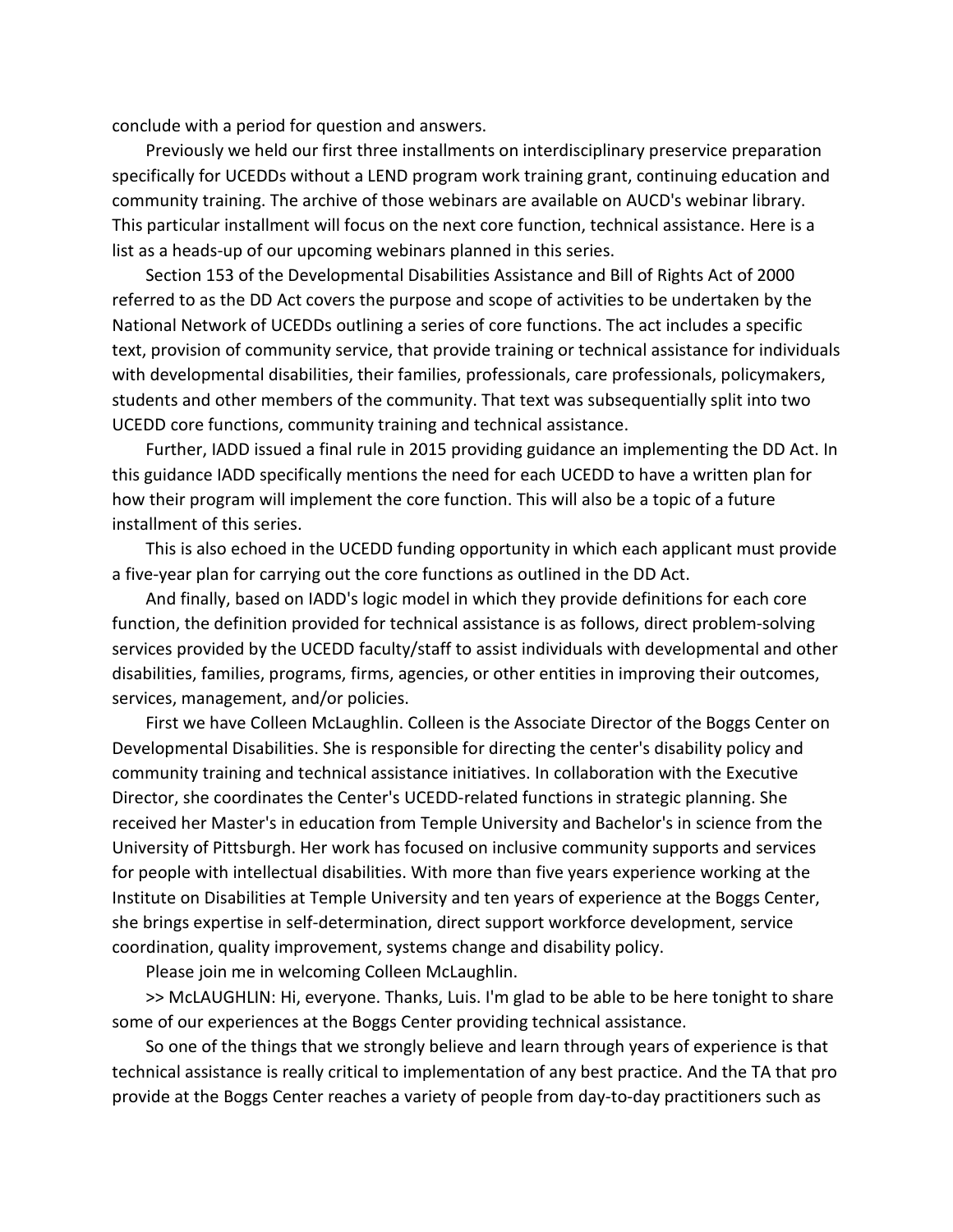conclude with a period for question and answers.

Previously we held our first three installments on interdisciplinary preservice preparation specifically for UCEDDs without a LEND program work training grant, continuing education and community training. The archive of those webinars are available on AUCD's webinar library. This particular installment will focus on the next core function, technical assistance. Here is a list as a heads-up of our upcoming webinars planned in this series.

Section 153 of the Developmental Disabilities Assistance and Bill of Rights Act of 2000 referred to as the DD Act covers the purpose and scope of activities to be undertaken by the National Network of UCEDDs outlining a series of core functions. The act includes a specific text, provision of community service, that provide training or technical assistance for individuals with developmental disabilities, their families, professionals, care professionals, policymakers, students and other members of the community. That text was subsequentially split into two UCEDD core functions, community training and technical assistance.

Further, IADD issued a final rule in 2015 providing guidance an implementing the DD Act. In this guidance IADD specifically mentions the need for each UCEDD to have a written plan for how their program will implement the core function. This will also be a topic of a future installment of this series.

This is also echoed in the UCEDD funding opportunity in which each applicant must provide a five-year plan for carrying out the core functions as outlined in the DD Act.

And finally, based on IADD's logic model in which they provide definitions for each core function, the definition provided for technical assistance is as follows, direct problem-solving services provided by the UCEDD faculty/staff to assist individuals with developmental and other disabilities, families, programs, firms, agencies, or other entities in improving their outcomes, services, management, and/or policies.

First we have Colleen McLaughlin. Colleen is the Associate Director of the Boggs Center on Developmental Disabilities. She is responsible for directing the center's disability policy and community training and technical assistance initiatives. In collaboration with the Executive Director, she coordinates the Center's UCEDD-related functions in strategic planning. She received her Master's in education from Temple University and Bachelor's in science from the University of Pittsburgh. Her work has focused on inclusive community supports and services for people with intellectual disabilities. With more than five years experience working at the Institute on Disabilities at Temple University and ten years of experience at the Boggs Center, she brings expertise in self-determination, direct support workforce development, service coordination, quality improvement, systems change and disability policy.

Please join me in welcoming Colleen McLaughlin.

>> McLAUGHLIN: Hi, everyone. Thanks, Luis. I'm glad to be able to be here tonight to share some of our experiences at the Boggs Center providing technical assistance.

So one of the things that we strongly believe and learn through years of experience is that technical assistance is really critical to implementation of any best practice. And the TA that pro provide at the Boggs Center reaches a variety of people from day-to-day practitioners such as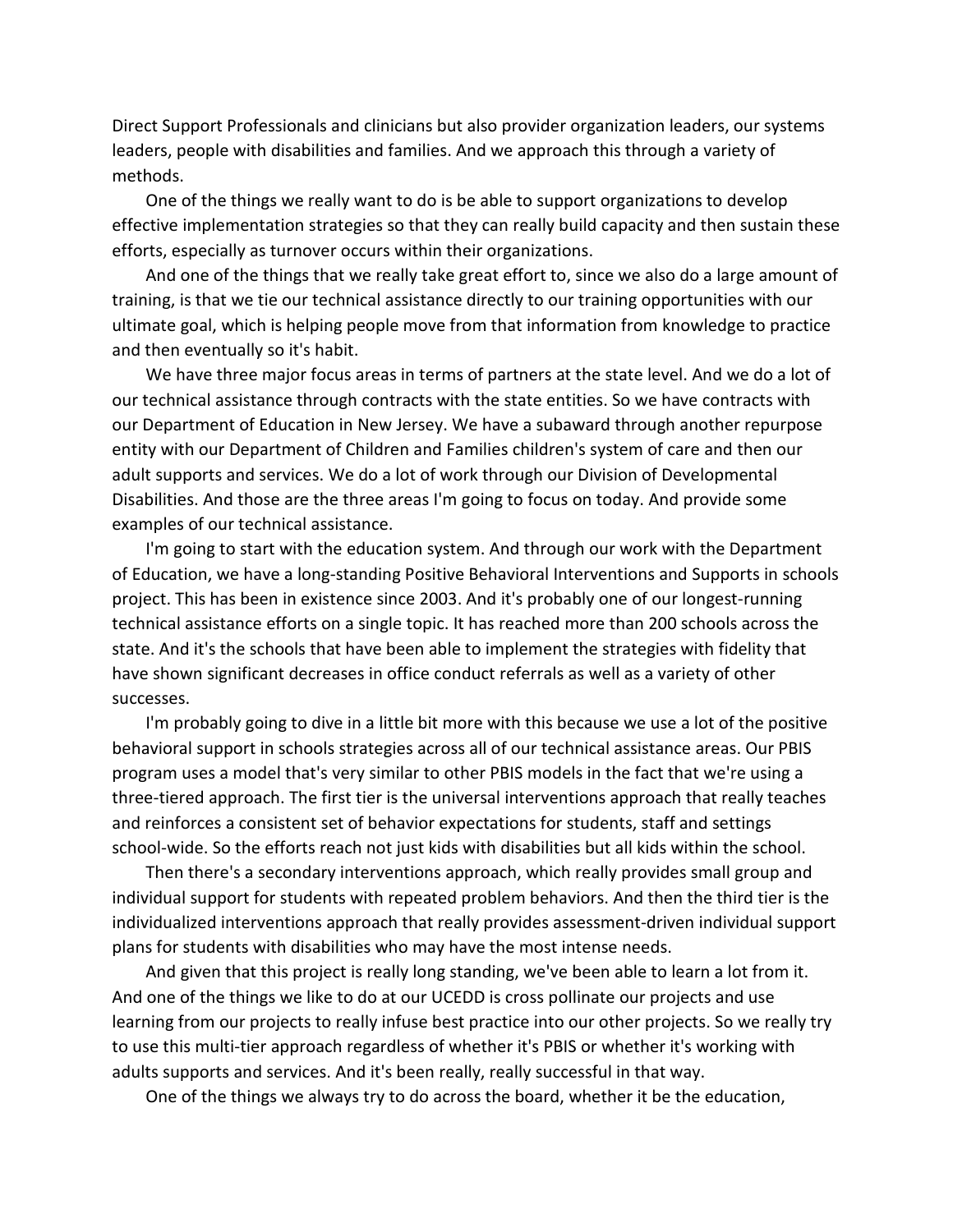Direct Support Professionals and clinicians but also provider organization leaders, our systems leaders, people with disabilities and families. And we approach this through a variety of methods.

One of the things we really want to do is be able to support organizations to develop effective implementation strategies so that they can really build capacity and then sustain these efforts, especially as turnover occurs within their organizations.

And one of the things that we really take great effort to, since we also do a large amount of training, is that we tie our technical assistance directly to our training opportunities with our ultimate goal, which is helping people move from that information from knowledge to practice and then eventually so it's habit.

We have three major focus areas in terms of partners at the state level. And we do a lot of our technical assistance through contracts with the state entities. So we have contracts with our Department of Education in New Jersey. We have a subaward through another repurpose entity with our Department of Children and Families children's system of care and then our adult supports and services. We do a lot of work through our Division of Developmental Disabilities. And those are the three areas I'm going to focus on today. And provide some examples of our technical assistance.

I'm going to start with the education system. And through our work with the Department of Education, we have a long-standing Positive Behavioral Interventions and Supports in schools project. This has been in existence since 2003. And it's probably one of our longest-running technical assistance efforts on a single topic. It has reached more than 200 schools across the state. And it's the schools that have been able to implement the strategies with fidelity that have shown significant decreases in office conduct referrals as well as a variety of other successes.

I'm probably going to dive in a little bit more with this because we use a lot of the positive behavioral support in schools strategies across all of our technical assistance areas. Our PBIS program uses a model that's very similar to other PBIS models in the fact that we're using a three-tiered approach. The first tier is the universal interventions approach that really teaches and reinforces a consistent set of behavior expectations for students, staff and settings school-wide. So the efforts reach not just kids with disabilities but all kids within the school.

Then there's a secondary interventions approach, which really provides small group and individual support for students with repeated problem behaviors. And then the third tier is the individualized interventions approach that really provides assessment-driven individual support plans for students with disabilities who may have the most intense needs.

And given that this project is really long standing, we've been able to learn a lot from it. And one of the things we like to do at our UCEDD is cross pollinate our projects and use learning from our projects to really infuse best practice into our other projects. So we really try to use this multi-tier approach regardless of whether it's PBIS or whether it's working with adults supports and services. And it's been really, really successful in that way.

One of the things we always try to do across the board, whether it be the education,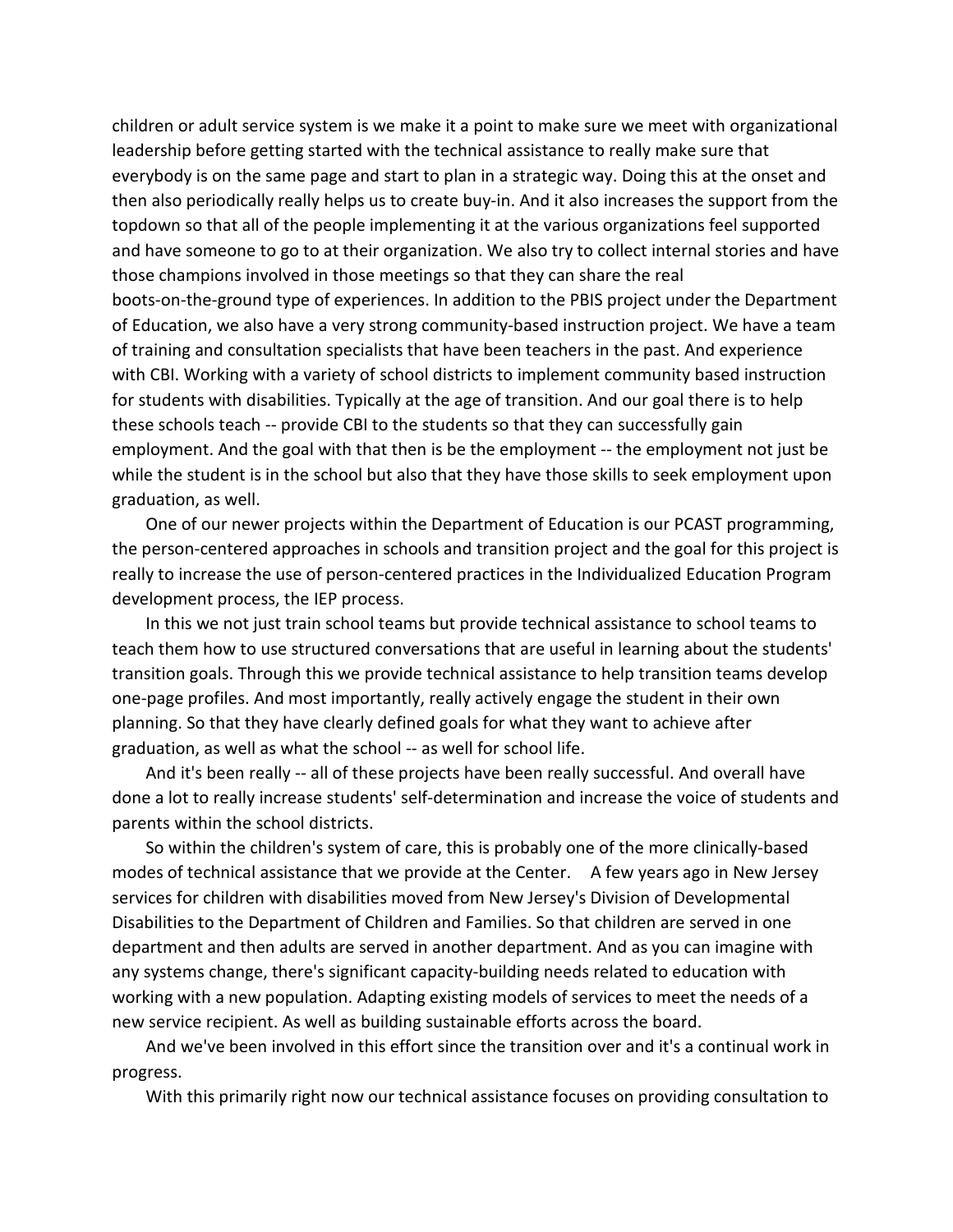children or adult service system is we make it a point to make sure we meet with organizational leadership before getting started with the technical assistance to really make sure that everybody is on the same page and start to plan in a strategic way. Doing this at the onset and then also periodically really helps us to create buy-in. And it also increases the support from the topdown so that all of the people implementing it at the various organizations feel supported and have someone to go to at their organization. We also try to collect internal stories and have those champions involved in those meetings so that they can share the real boots-on-the-ground type of experiences. In addition to the PBIS project under the Department of Education, we also have a very strong community-based instruction project. We have a team of training and consultation specialists that have been teachers in the past. And experience with CBI. Working with a variety of school districts to implement community based instruction for students with disabilities. Typically at the age of transition. And our goal there is to help these schools teach -- provide CBI to the students so that they can successfully gain employment. And the goal with that then is be the employment -- the employment not just be while the student is in the school but also that they have those skills to seek employment upon graduation, as well.

One of our newer projects within the Department of Education is our PCAST programming, the person-centered approaches in schools and transition project and the goal for this project is really to increase the use of person-centered practices in the Individualized Education Program development process, the IEP process.

In this we not just train school teams but provide technical assistance to school teams to teach them how to use structured conversations that are useful in learning about the students' transition goals. Through this we provide technical assistance to help transition teams develop one-page profiles. And most importantly, really actively engage the student in their own planning. So that they have clearly defined goals for what they want to achieve after graduation, as well as what the school -- as well for school life.

And it's been really -- all of these projects have been really successful. And overall have done a lot to really increase students' self-determination and increase the voice of students and parents within the school districts.

So within the children's system of care, this is probably one of the more clinically-based modes of technical assistance that we provide at the Center. A few years ago in New Jersey services for children with disabilities moved from New Jersey's Division of Developmental Disabilities to the Department of Children and Families. So that children are served in one department and then adults are served in another department. And as you can imagine with any systems change, there's significant capacity-building needs related to education with working with a new population. Adapting existing models of services to meet the needs of a new service recipient. As well as building sustainable efforts across the board.

And we've been involved in this effort since the transition over and it's a continual work in progress.

With this primarily right now our technical assistance focuses on providing consultation to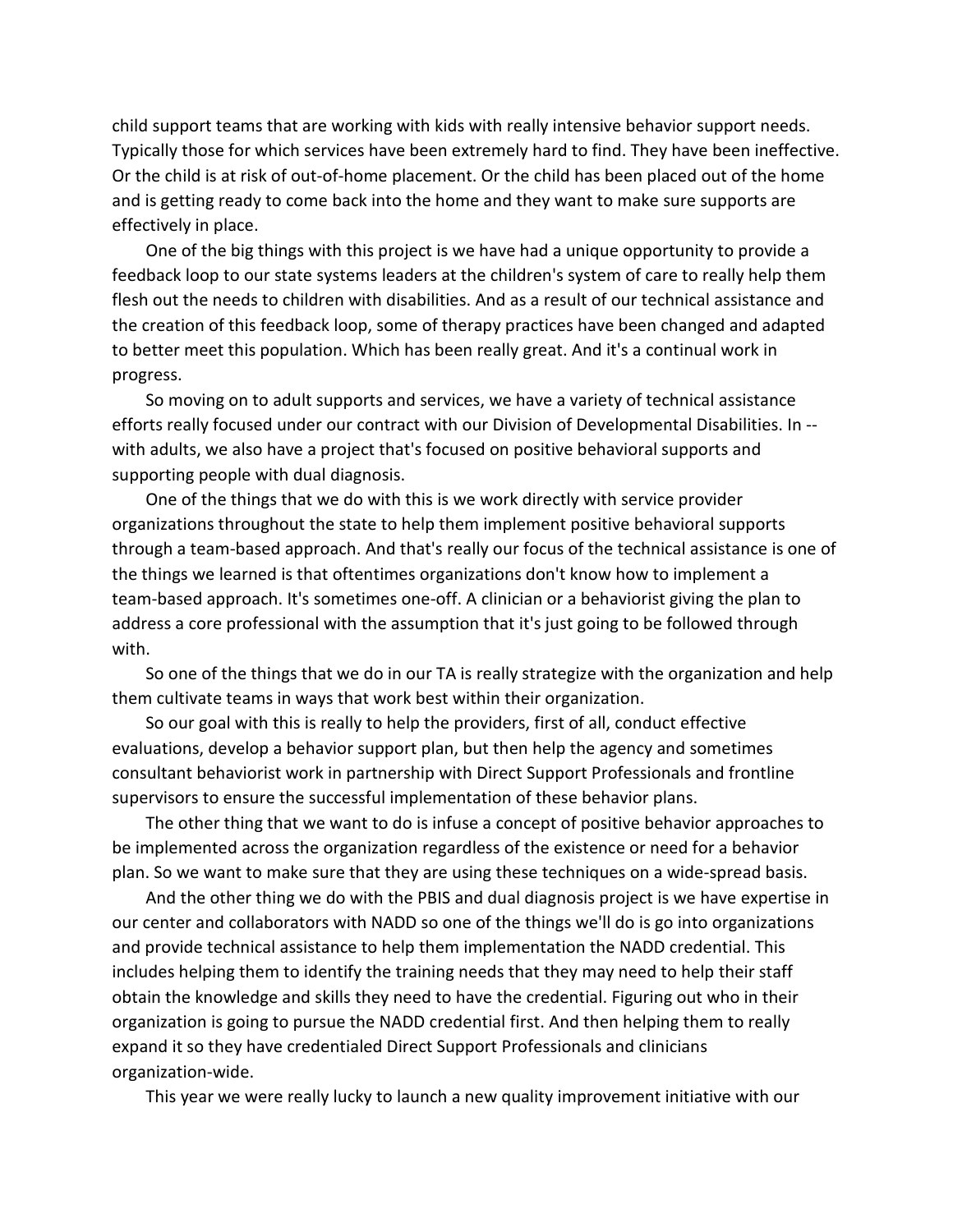child support teams that are working with kids with really intensive behavior support needs. Typically those for which services have been extremely hard to find. They have been ineffective. Or the child is at risk of out-of-home placement. Or the child has been placed out of the home and is getting ready to come back into the home and they want to make sure supports are effectively in place.

One of the big things with this project is we have had a unique opportunity to provide a feedback loop to our state systems leaders at the children's system of care to really help them flesh out the needs to children with disabilities. And as a result of our technical assistance and the creation of this feedback loop, some of therapy practices have been changed and adapted to better meet this population. Which has been really great. And it's a continual work in progress.

So moving on to adult supports and services, we have a variety of technical assistance efforts really focused under our contract with our Division of Developmental Disabilities. In - with adults, we also have a project that's focused on positive behavioral supports and supporting people with dual diagnosis.

One of the things that we do with this is we work directly with service provider organizations throughout the state to help them implement positive behavioral supports through a team-based approach. And that's really our focus of the technical assistance is one of the things we learned is that oftentimes organizations don't know how to implement a team-based approach. It's sometimes one-off. A clinician or a behaviorist giving the plan to address a core professional with the assumption that it's just going to be followed through with.

So one of the things that we do in our TA is really strategize with the organization and help them cultivate teams in ways that work best within their organization.

So our goal with this is really to help the providers, first of all, conduct effective evaluations, develop a behavior support plan, but then help the agency and sometimes consultant behaviorist work in partnership with Direct Support Professionals and frontline supervisors to ensure the successful implementation of these behavior plans.

The other thing that we want to do is infuse a concept of positive behavior approaches to be implemented across the organization regardless of the existence or need for a behavior plan. So we want to make sure that they are using these techniques on a wide-spread basis.

And the other thing we do with the PBIS and dual diagnosis project is we have expertise in our center and collaborators with NADD so one of the things we'll do is go into organizations and provide technical assistance to help them implementation the NADD credential. This includes helping them to identify the training needs that they may need to help their staff obtain the knowledge and skills they need to have the credential. Figuring out who in their organization is going to pursue the NADD credential first. And then helping them to really expand it so they have credentialed Direct Support Professionals and clinicians organization-wide.

This year we were really lucky to launch a new quality improvement initiative with our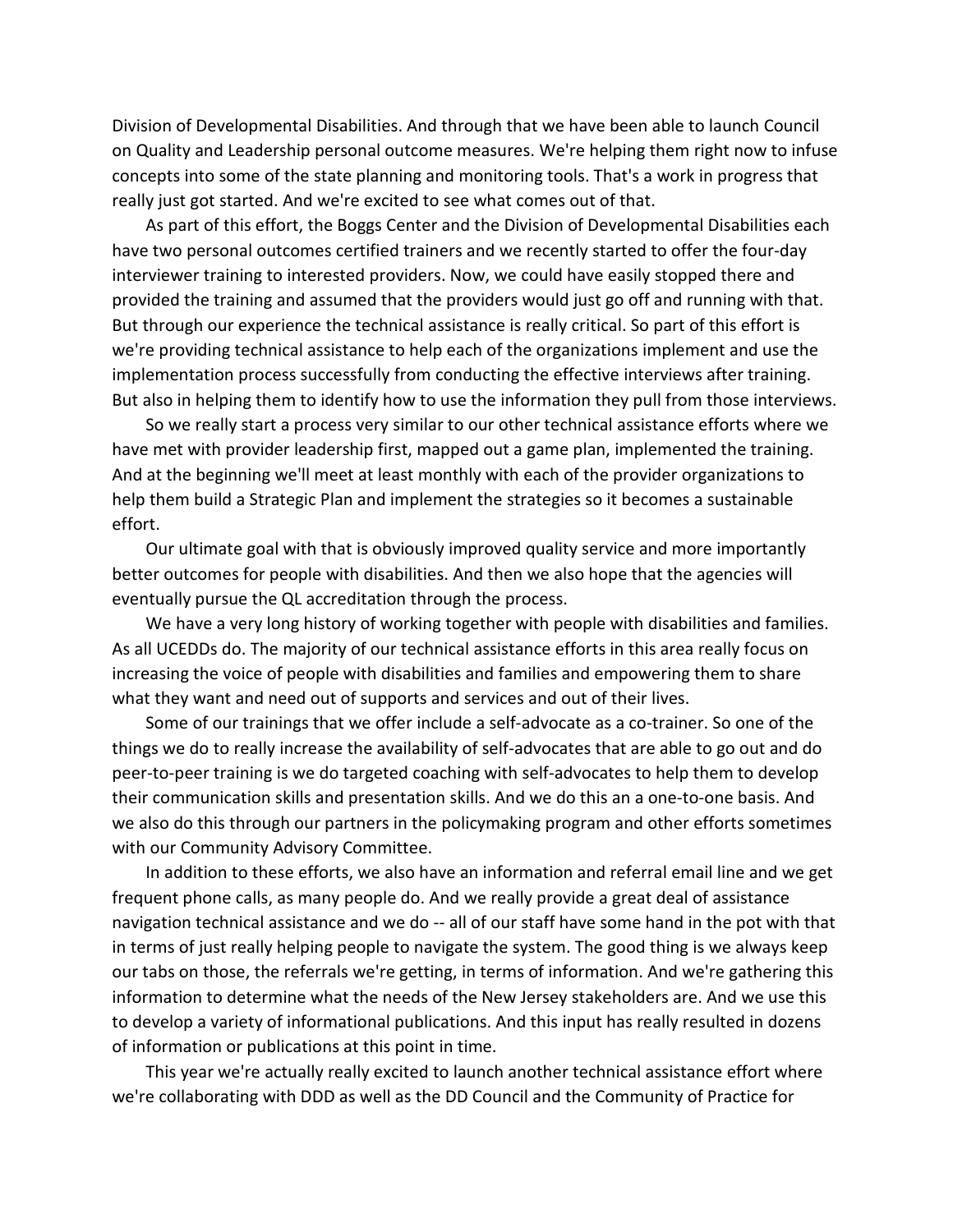Division of Developmental Disabilities. And through that we have been able to launch Council on Quality and Leadership personal outcome measures. We're helping them right now to infuse concepts into some of the state planning and monitoring tools. That's a work in progress that really just got started. And we're excited to see what comes out of that.

As part of this effort, the Boggs Center and the Division of Developmental Disabilities each have two personal outcomes certified trainers and we recently started to offer the four-day interviewer training to interested providers. Now, we could have easily stopped there and provided the training and assumed that the providers would just go off and running with that. But through our experience the technical assistance is really critical. So part of this effort is we're providing technical assistance to help each of the organizations implement and use the implementation process successfully from conducting the effective interviews after training. But also in helping them to identify how to use the information they pull from those interviews.

So we really start a process very similar to our other technical assistance efforts where we have met with provider leadership first, mapped out a game plan, implemented the training. And at the beginning we'll meet at least monthly with each of the provider organizations to help them build a Strategic Plan and implement the strategies so it becomes a sustainable effort.

Our ultimate goal with that is obviously improved quality service and more importantly better outcomes for people with disabilities. And then we also hope that the agencies will eventually pursue the QL accreditation through the process.

We have a very long history of working together with people with disabilities and families. As all UCEDDs do. The majority of our technical assistance efforts in this area really focus on increasing the voice of people with disabilities and families and empowering them to share what they want and need out of supports and services and out of their lives.

Some of our trainings that we offer include a self-advocate as a co-trainer. So one of the things we do to really increase the availability of self-advocates that are able to go out and do peer-to-peer training is we do targeted coaching with self-advocates to help them to develop their communication skills and presentation skills. And we do this an a one-to-one basis. And we also do this through our partners in the policymaking program and other efforts sometimes with our Community Advisory Committee.

In addition to these efforts, we also have an information and referral email line and we get frequent phone calls, as many people do. And we really provide a great deal of assistance navigation technical assistance and we do -- all of our staff have some hand in the pot with that in terms of just really helping people to navigate the system. The good thing is we always keep our tabs on those, the referrals we're getting, in terms of information. And we're gathering this information to determine what the needs of the New Jersey stakeholders are. And we use this to develop a variety of informational publications. And this input has really resulted in dozens of information or publications at this point in time.

This year we're actually really excited to launch another technical assistance effort where we're collaborating with DDD as well as the DD Council and the Community of Practice for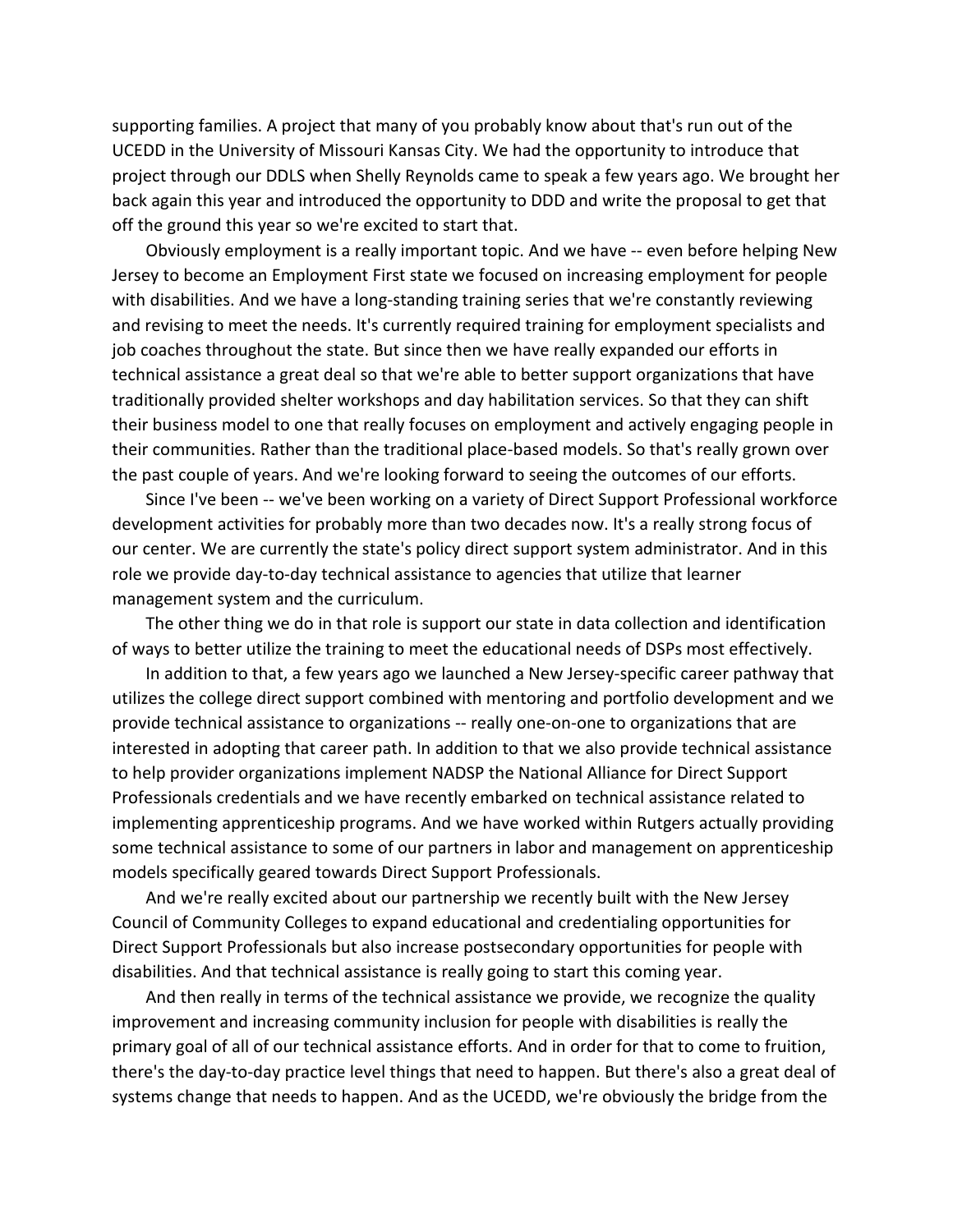supporting families. A project that many of you probably know about that's run out of the UCEDD in the University of Missouri Kansas City. We had the opportunity to introduce that project through our DDLS when Shelly Reynolds came to speak a few years ago. We brought her back again this year and introduced the opportunity to DDD and write the proposal to get that off the ground this year so we're excited to start that.

Obviously employment is a really important topic. And we have -- even before helping New Jersey to become an Employment First state we focused on increasing employment for people with disabilities. And we have a long-standing training series that we're constantly reviewing and revising to meet the needs. It's currently required training for employment specialists and job coaches throughout the state. But since then we have really expanded our efforts in technical assistance a great deal so that we're able to better support organizations that have traditionally provided shelter workshops and day habilitation services. So that they can shift their business model to one that really focuses on employment and actively engaging people in their communities. Rather than the traditional place-based models. So that's really grown over the past couple of years. And we're looking forward to seeing the outcomes of our efforts.

Since I've been -- we've been working on a variety of Direct Support Professional workforce development activities for probably more than two decades now. It's a really strong focus of our center. We are currently the state's policy direct support system administrator. And in this role we provide day-to-day technical assistance to agencies that utilize that learner management system and the curriculum.

The other thing we do in that role is support our state in data collection and identification of ways to better utilize the training to meet the educational needs of DSPs most effectively.

In addition to that, a few years ago we launched a New Jersey-specific career pathway that utilizes the college direct support combined with mentoring and portfolio development and we provide technical assistance to organizations -- really one-on-one to organizations that are interested in adopting that career path. In addition to that we also provide technical assistance to help provider organizations implement NADSP the National Alliance for Direct Support Professionals credentials and we have recently embarked on technical assistance related to implementing apprenticeship programs. And we have worked within Rutgers actually providing some technical assistance to some of our partners in labor and management on apprenticeship models specifically geared towards Direct Support Professionals.

And we're really excited about our partnership we recently built with the New Jersey Council of Community Colleges to expand educational and credentialing opportunities for Direct Support Professionals but also increase postsecondary opportunities for people with disabilities. And that technical assistance is really going to start this coming year.

And then really in terms of the technical assistance we provide, we recognize the quality improvement and increasing community inclusion for people with disabilities is really the primary goal of all of our technical assistance efforts. And in order for that to come to fruition, there's the day-to-day practice level things that need to happen. But there's also a great deal of systems change that needs to happen. And as the UCEDD, we're obviously the bridge from the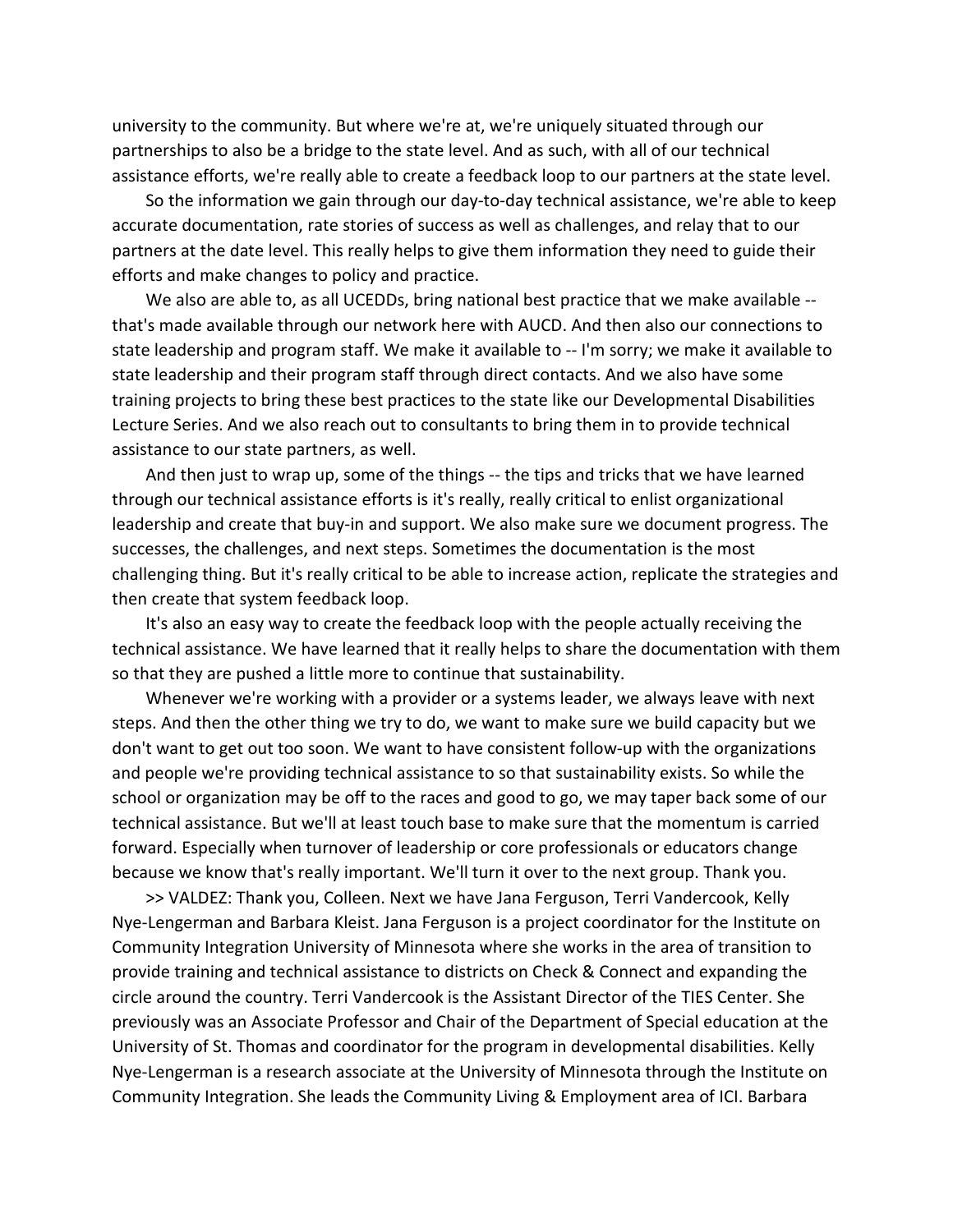university to the community. But where we're at, we're uniquely situated through our partnerships to also be a bridge to the state level. And as such, with all of our technical assistance efforts, we're really able to create a feedback loop to our partners at the state level.

So the information we gain through our day-to-day technical assistance, we're able to keep accurate documentation, rate stories of success as well as challenges, and relay that to our partners at the date level. This really helps to give them information they need to guide their efforts and make changes to policy and practice.

We also are able to, as all UCEDDs, bring national best practice that we make available -that's made available through our network here with AUCD. And then also our connections to state leadership and program staff. We make it available to -- I'm sorry; we make it available to state leadership and their program staff through direct contacts. And we also have some training projects to bring these best practices to the state like our Developmental Disabilities Lecture Series. And we also reach out to consultants to bring them in to provide technical assistance to our state partners, as well.

And then just to wrap up, some of the things -- the tips and tricks that we have learned through our technical assistance efforts is it's really, really critical to enlist organizational leadership and create that buy-in and support. We also make sure we document progress. The successes, the challenges, and next steps. Sometimes the documentation is the most challenging thing. But it's really critical to be able to increase action, replicate the strategies and then create that system feedback loop.

It's also an easy way to create the feedback loop with the people actually receiving the technical assistance. We have learned that it really helps to share the documentation with them so that they are pushed a little more to continue that sustainability.

Whenever we're working with a provider or a systems leader, we always leave with next steps. And then the other thing we try to do, we want to make sure we build capacity but we don't want to get out too soon. We want to have consistent follow-up with the organizations and people we're providing technical assistance to so that sustainability exists. So while the school or organization may be off to the races and good to go, we may taper back some of our technical assistance. But we'll at least touch base to make sure that the momentum is carried forward. Especially when turnover of leadership or core professionals or educators change because we know that's really important. We'll turn it over to the next group. Thank you.

>> VALDEZ: Thank you, Colleen. Next we have Jana Ferguson, Terri Vandercook, Kelly Nye-Lengerman and Barbara Kleist. Jana Ferguson is a project coordinator for the Institute on Community Integration University of Minnesota where she works in the area of transition to provide training and technical assistance to districts on Check & Connect and expanding the circle around the country. Terri Vandercook is the Assistant Director of the TIES Center. She previously was an Associate Professor and Chair of the Department of Special education at the University of St. Thomas and coordinator for the program in developmental disabilities. Kelly Nye-Lengerman is a research associate at the University of Minnesota through the Institute on Community Integration. She leads the Community Living & Employment area of ICI. Barbara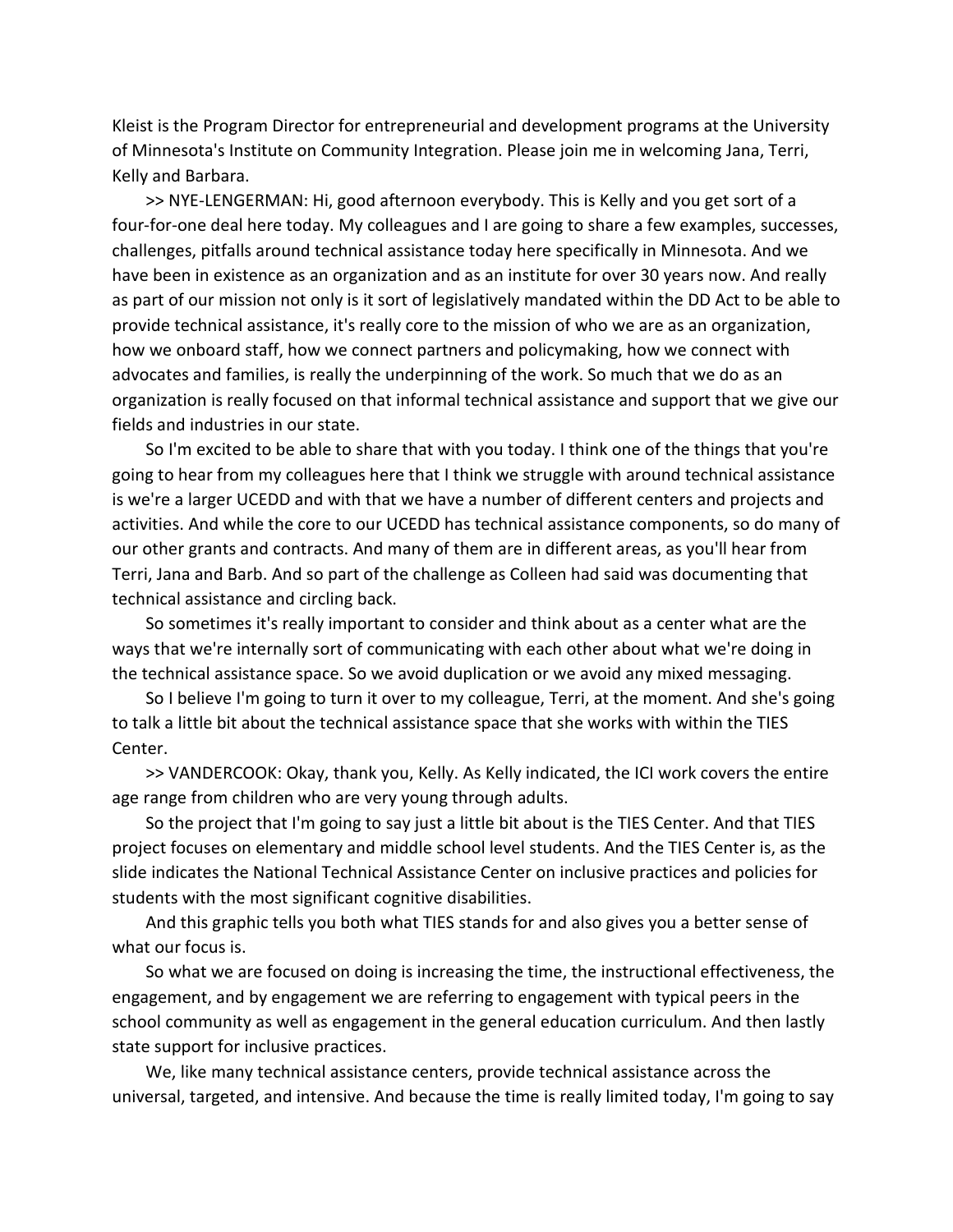Kleist is the Program Director for entrepreneurial and development programs at the University of Minnesota's Institute on Community Integration. Please join me in welcoming Jana, Terri, Kelly and Barbara.

>> NYE-LENGERMAN: Hi, good afternoon everybody. This is Kelly and you get sort of a four-for-one deal here today. My colleagues and I are going to share a few examples, successes, challenges, pitfalls around technical assistance today here specifically in Minnesota. And we have been in existence as an organization and as an institute for over 30 years now. And really as part of our mission not only is it sort of legislatively mandated within the DD Act to be able to provide technical assistance, it's really core to the mission of who we are as an organization, how we onboard staff, how we connect partners and policymaking, how we connect with advocates and families, is really the underpinning of the work. So much that we do as an organization is really focused on that informal technical assistance and support that we give our fields and industries in our state.

So I'm excited to be able to share that with you today. I think one of the things that you're going to hear from my colleagues here that I think we struggle with around technical assistance is we're a larger UCEDD and with that we have a number of different centers and projects and activities. And while the core to our UCEDD has technical assistance components, so do many of our other grants and contracts. And many of them are in different areas, as you'll hear from Terri, Jana and Barb. And so part of the challenge as Colleen had said was documenting that technical assistance and circling back.

So sometimes it's really important to consider and think about as a center what are the ways that we're internally sort of communicating with each other about what we're doing in the technical assistance space. So we avoid duplication or we avoid any mixed messaging.

So I believe I'm going to turn it over to my colleague, Terri, at the moment. And she's going to talk a little bit about the technical assistance space that she works with within the TIES Center.

>> VANDERCOOK: Okay, thank you, Kelly. As Kelly indicated, the ICI work covers the entire age range from children who are very young through adults.

So the project that I'm going to say just a little bit about is the TIES Center. And that TIES project focuses on elementary and middle school level students. And the TIES Center is, as the slide indicates the National Technical Assistance Center on inclusive practices and policies for students with the most significant cognitive disabilities.

And this graphic tells you both what TIES stands for and also gives you a better sense of what our focus is.

So what we are focused on doing is increasing the time, the instructional effectiveness, the engagement, and by engagement we are referring to engagement with typical peers in the school community as well as engagement in the general education curriculum. And then lastly state support for inclusive practices.

We, like many technical assistance centers, provide technical assistance across the universal, targeted, and intensive. And because the time is really limited today, I'm going to say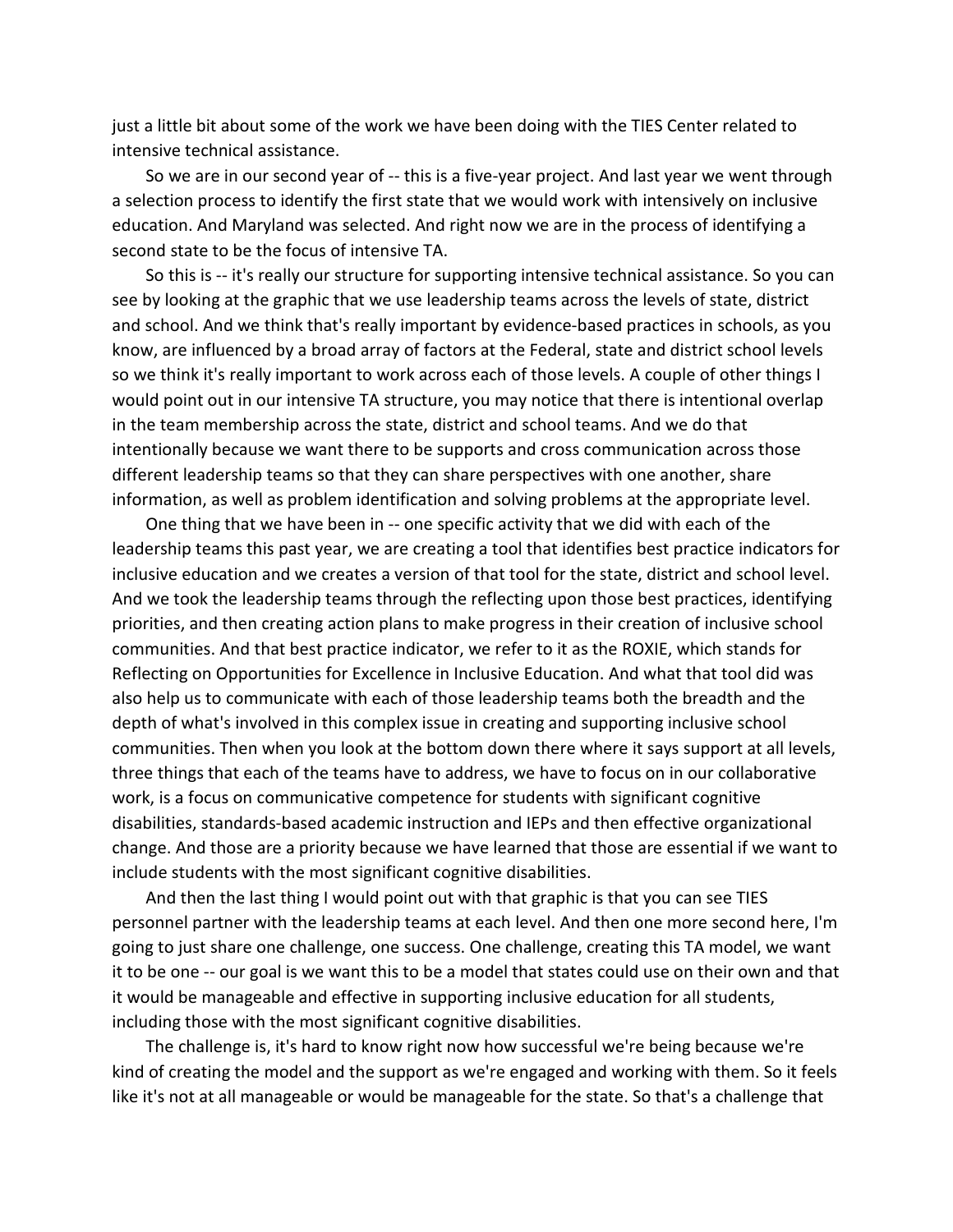just a little bit about some of the work we have been doing with the TIES Center related to intensive technical assistance.

So we are in our second year of -- this is a five-year project. And last year we went through a selection process to identify the first state that we would work with intensively on inclusive education. And Maryland was selected. And right now we are in the process of identifying a second state to be the focus of intensive TA.

So this is -- it's really our structure for supporting intensive technical assistance. So you can see by looking at the graphic that we use leadership teams across the levels of state, district and school. And we think that's really important by evidence-based practices in schools, as you know, are influenced by a broad array of factors at the Federal, state and district school levels so we think it's really important to work across each of those levels. A couple of other things I would point out in our intensive TA structure, you may notice that there is intentional overlap in the team membership across the state, district and school teams. And we do that intentionally because we want there to be supports and cross communication across those different leadership teams so that they can share perspectives with one another, share information, as well as problem identification and solving problems at the appropriate level.

One thing that we have been in -- one specific activity that we did with each of the leadership teams this past year, we are creating a tool that identifies best practice indicators for inclusive education and we creates a version of that tool for the state, district and school level. And we took the leadership teams through the reflecting upon those best practices, identifying priorities, and then creating action plans to make progress in their creation of inclusive school communities. And that best practice indicator, we refer to it as the ROXIE, which stands for Reflecting on Opportunities for Excellence in Inclusive Education. And what that tool did was also help us to communicate with each of those leadership teams both the breadth and the depth of what's involved in this complex issue in creating and supporting inclusive school communities. Then when you look at the bottom down there where it says support at all levels, three things that each of the teams have to address, we have to focus on in our collaborative work, is a focus on communicative competence for students with significant cognitive disabilities, standards-based academic instruction and IEPs and then effective organizational change. And those are a priority because we have learned that those are essential if we want to include students with the most significant cognitive disabilities.

And then the last thing I would point out with that graphic is that you can see TIES personnel partner with the leadership teams at each level. And then one more second here, I'm going to just share one challenge, one success. One challenge, creating this TA model, we want it to be one -- our goal is we want this to be a model that states could use on their own and that it would be manageable and effective in supporting inclusive education for all students, including those with the most significant cognitive disabilities.

The challenge is, it's hard to know right now how successful we're being because we're kind of creating the model and the support as we're engaged and working with them. So it feels like it's not at all manageable or would be manageable for the state. So that's a challenge that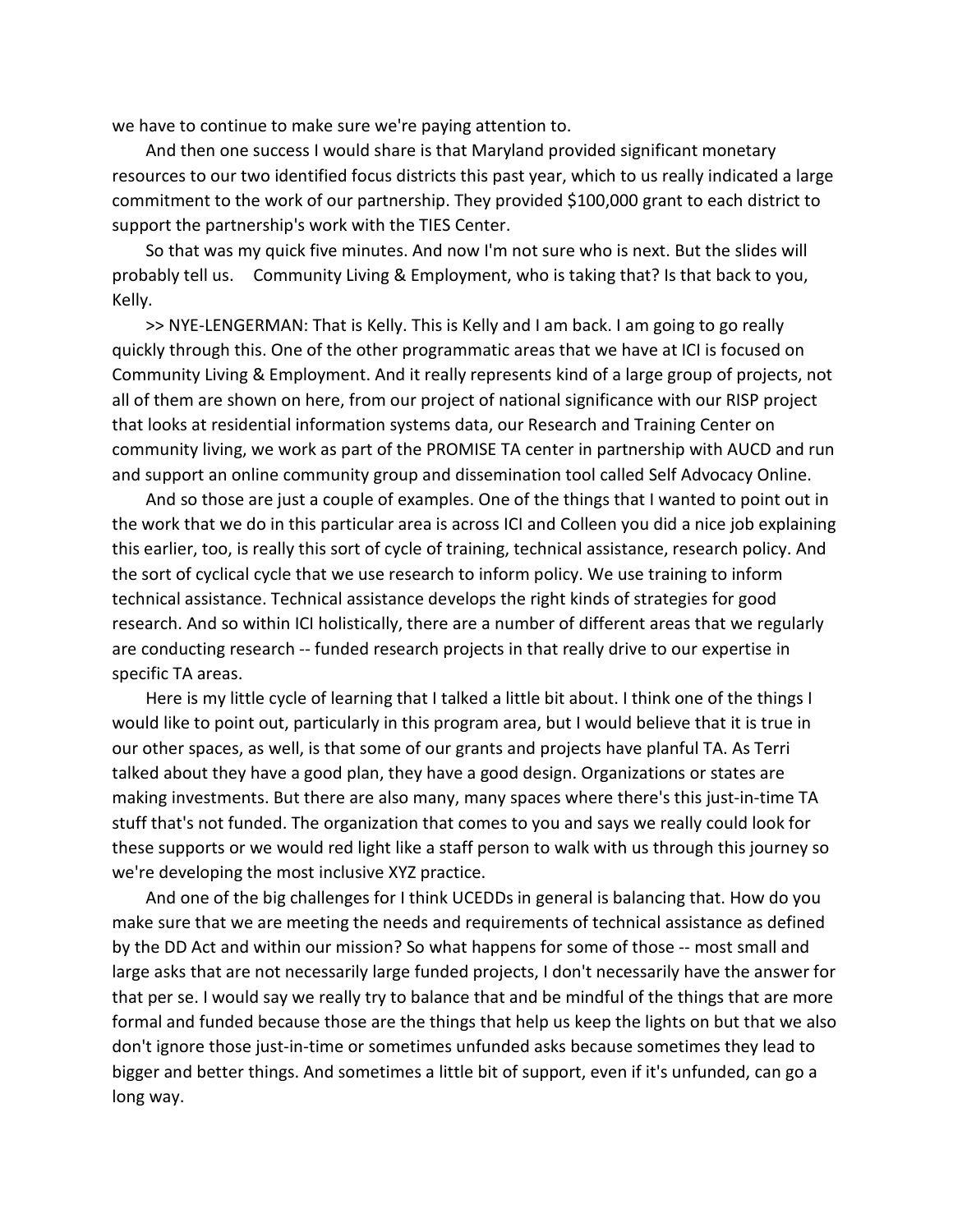we have to continue to make sure we're paying attention to.

And then one success I would share is that Maryland provided significant monetary resources to our two identified focus districts this past year, which to us really indicated a large commitment to the work of our partnership. They provided \$100,000 grant to each district to support the partnership's work with the TIES Center.

So that was my quick five minutes. And now I'm not sure who is next. But the slides will probably tell us. Community Living & Employment, who is taking that? Is that back to you, Kelly.

>> NYE-LENGERMAN: That is Kelly. This is Kelly and I am back. I am going to go really quickly through this. One of the other programmatic areas that we have at ICI is focused on Community Living & Employment. And it really represents kind of a large group of projects, not all of them are shown on here, from our project of national significance with our RISP project that looks at residential information systems data, our Research and Training Center on community living, we work as part of the PROMISE TA center in partnership with AUCD and run and support an online community group and dissemination tool called Self Advocacy Online.

And so those are just a couple of examples. One of the things that I wanted to point out in the work that we do in this particular area is across ICI and Colleen you did a nice job explaining this earlier, too, is really this sort of cycle of training, technical assistance, research policy. And the sort of cyclical cycle that we use research to inform policy. We use training to inform technical assistance. Technical assistance develops the right kinds of strategies for good research. And so within ICI holistically, there are a number of different areas that we regularly are conducting research -- funded research projects in that really drive to our expertise in specific TA areas.

Here is my little cycle of learning that I talked a little bit about. I think one of the things I would like to point out, particularly in this program area, but I would believe that it is true in our other spaces, as well, is that some of our grants and projects have planful TA. As Terri talked about they have a good plan, they have a good design. Organizations or states are making investments. But there are also many, many spaces where there's this just-in-time TA stuff that's not funded. The organization that comes to you and says we really could look for these supports or we would red light like a staff person to walk with us through this journey so we're developing the most inclusive XYZ practice.

And one of the big challenges for I think UCEDDs in general is balancing that. How do you make sure that we are meeting the needs and requirements of technical assistance as defined by the DD Act and within our mission? So what happens for some of those -- most small and large asks that are not necessarily large funded projects, I don't necessarily have the answer for that per se. I would say we really try to balance that and be mindful of the things that are more formal and funded because those are the things that help us keep the lights on but that we also don't ignore those just-in-time or sometimes unfunded asks because sometimes they lead to bigger and better things. And sometimes a little bit of support, even if it's unfunded, can go a long way.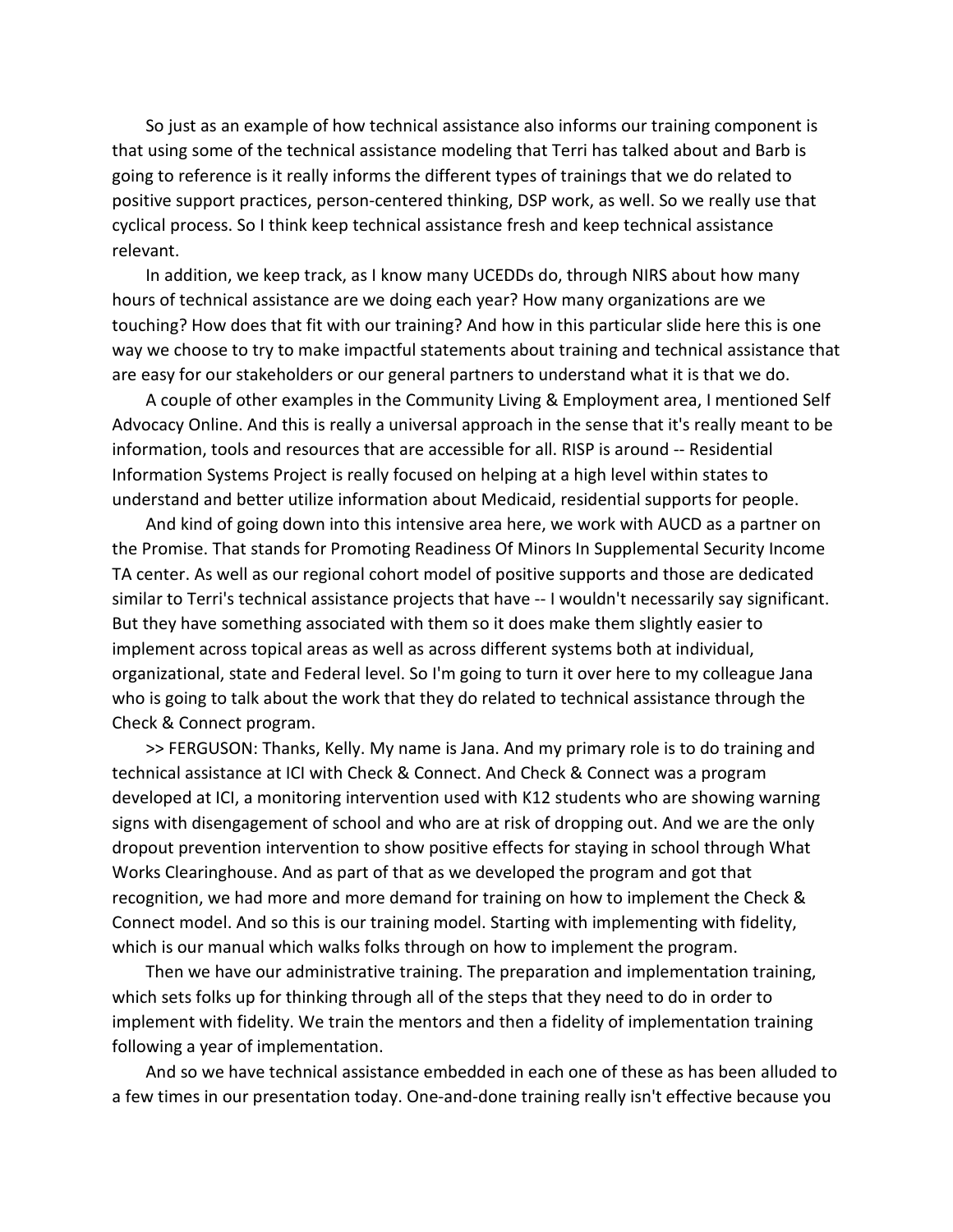So just as an example of how technical assistance also informs our training component is that using some of the technical assistance modeling that Terri has talked about and Barb is going to reference is it really informs the different types of trainings that we do related to positive support practices, person-centered thinking, DSP work, as well. So we really use that cyclical process. So I think keep technical assistance fresh and keep technical assistance relevant.

In addition, we keep track, as I know many UCEDDs do, through NIRS about how many hours of technical assistance are we doing each year? How many organizations are we touching? How does that fit with our training? And how in this particular slide here this is one way we choose to try to make impactful statements about training and technical assistance that are easy for our stakeholders or our general partners to understand what it is that we do.

A couple of other examples in the Community Living & Employment area, I mentioned Self Advocacy Online. And this is really a universal approach in the sense that it's really meant to be information, tools and resources that are accessible for all. RISP is around -- Residential Information Systems Project is really focused on helping at a high level within states to understand and better utilize information about Medicaid, residential supports for people.

And kind of going down into this intensive area here, we work with AUCD as a partner on the Promise. That stands for Promoting Readiness Of Minors In Supplemental Security Income TA center. As well as our regional cohort model of positive supports and those are dedicated similar to Terri's technical assistance projects that have -- I wouldn't necessarily say significant. But they have something associated with them so it does make them slightly easier to implement across topical areas as well as across different systems both at individual, organizational, state and Federal level. So I'm going to turn it over here to my colleague Jana who is going to talk about the work that they do related to technical assistance through the Check & Connect program.

>> FERGUSON: Thanks, Kelly. My name is Jana. And my primary role is to do training and technical assistance at ICI with Check & Connect. And Check & Connect was a program developed at ICI, a monitoring intervention used with K12 students who are showing warning signs with disengagement of school and who are at risk of dropping out. And we are the only dropout prevention intervention to show positive effects for staying in school through What Works Clearinghouse. And as part of that as we developed the program and got that recognition, we had more and more demand for training on how to implement the Check & Connect model. And so this is our training model. Starting with implementing with fidelity, which is our manual which walks folks through on how to implement the program.

Then we have our administrative training. The preparation and implementation training, which sets folks up for thinking through all of the steps that they need to do in order to implement with fidelity. We train the mentors and then a fidelity of implementation training following a year of implementation.

And so we have technical assistance embedded in each one of these as has been alluded to a few times in our presentation today. One-and-done training really isn't effective because you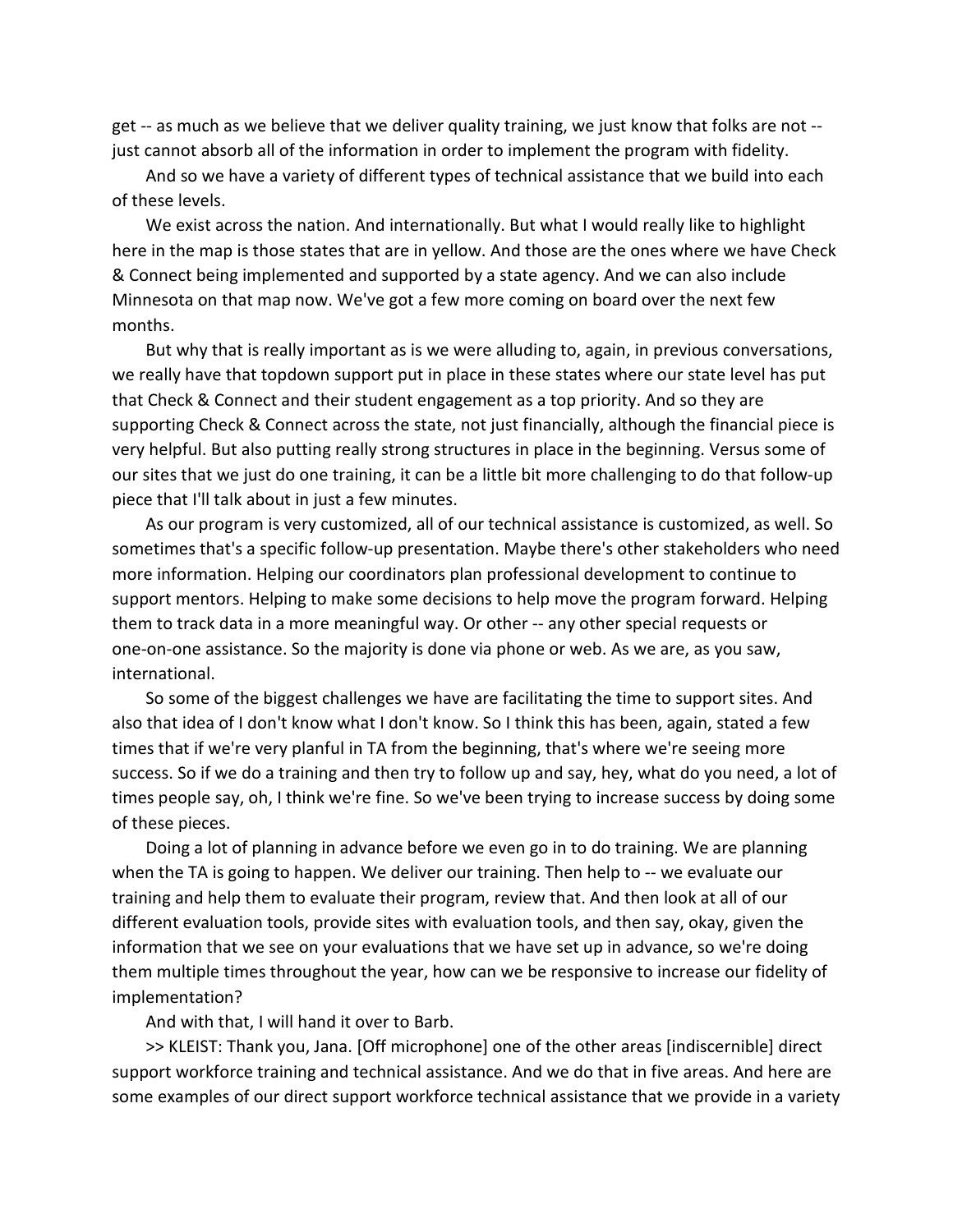get -- as much as we believe that we deliver quality training, we just know that folks are not - just cannot absorb all of the information in order to implement the program with fidelity.

And so we have a variety of different types of technical assistance that we build into each of these levels.

We exist across the nation. And internationally. But what I would really like to highlight here in the map is those states that are in yellow. And those are the ones where we have Check & Connect being implemented and supported by a state agency. And we can also include Minnesota on that map now. We've got a few more coming on board over the next few months.

But why that is really important as is we were alluding to, again, in previous conversations, we really have that topdown support put in place in these states where our state level has put that Check & Connect and their student engagement as a top priority. And so they are supporting Check & Connect across the state, not just financially, although the financial piece is very helpful. But also putting really strong structures in place in the beginning. Versus some of our sites that we just do one training, it can be a little bit more challenging to do that follow-up piece that I'll talk about in just a few minutes.

As our program is very customized, all of our technical assistance is customized, as well. So sometimes that's a specific follow-up presentation. Maybe there's other stakeholders who need more information. Helping our coordinators plan professional development to continue to support mentors. Helping to make some decisions to help move the program forward. Helping them to track data in a more meaningful way. Or other -- any other special requests or one-on-one assistance. So the majority is done via phone or web. As we are, as you saw, international.

So some of the biggest challenges we have are facilitating the time to support sites. And also that idea of I don't know what I don't know. So I think this has been, again, stated a few times that if we're very planful in TA from the beginning, that's where we're seeing more success. So if we do a training and then try to follow up and say, hey, what do you need, a lot of times people say, oh, I think we're fine. So we've been trying to increase success by doing some of these pieces.

Doing a lot of planning in advance before we even go in to do training. We are planning when the TA is going to happen. We deliver our training. Then help to -- we evaluate our training and help them to evaluate their program, review that. And then look at all of our different evaluation tools, provide sites with evaluation tools, and then say, okay, given the information that we see on your evaluations that we have set up in advance, so we're doing them multiple times throughout the year, how can we be responsive to increase our fidelity of implementation?

And with that, I will hand it over to Barb.

>> KLEIST: Thank you, Jana. [Off microphone] one of the other areas [indiscernible] direct support workforce training and technical assistance. And we do that in five areas. And here are some examples of our direct support workforce technical assistance that we provide in a variety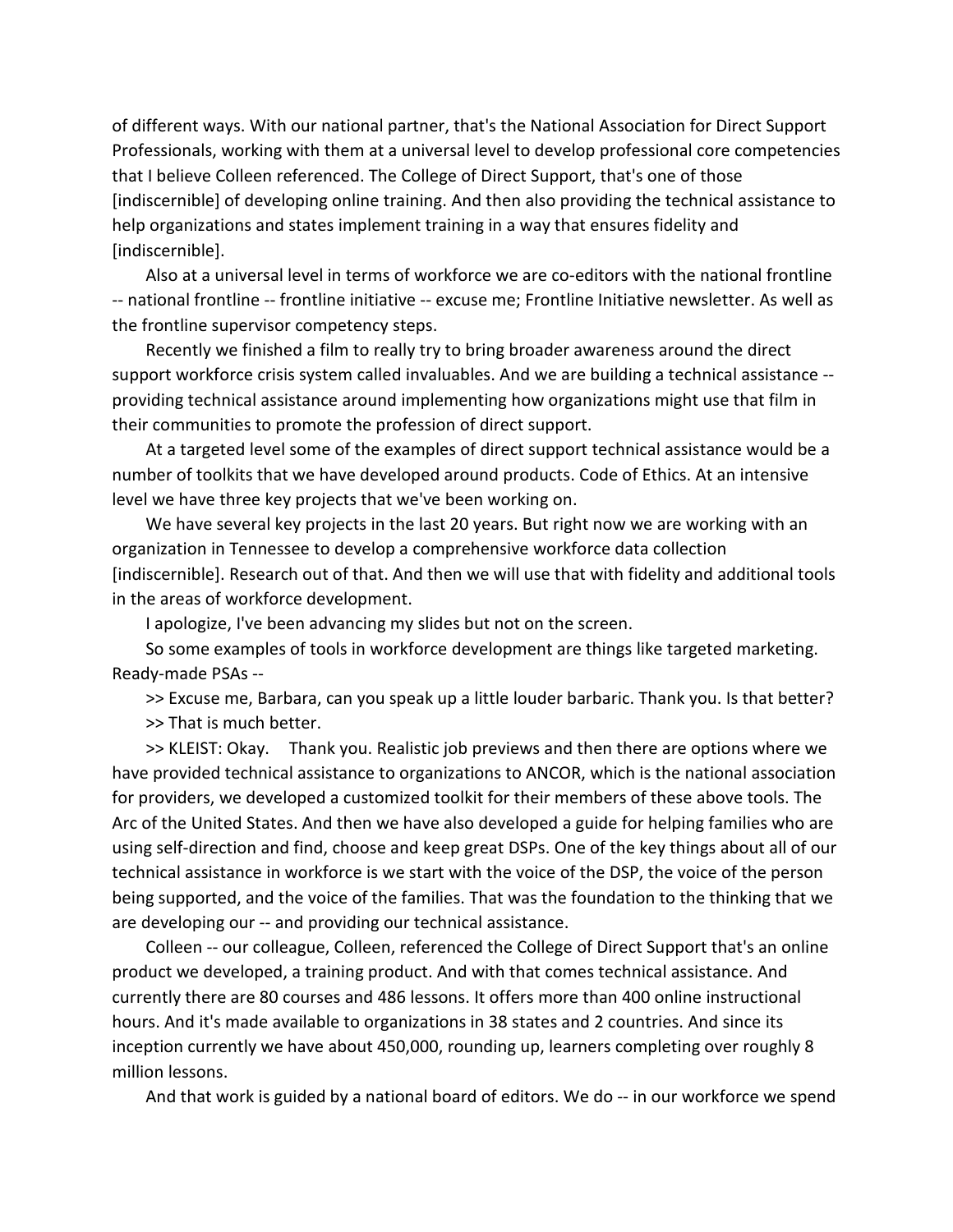of different ways. With our national partner, that's the National Association for Direct Support Professionals, working with them at a universal level to develop professional core competencies that I believe Colleen referenced. The College of Direct Support, that's one of those [indiscernible] of developing online training. And then also providing the technical assistance to help organizations and states implement training in a way that ensures fidelity and [indiscernible].

Also at a universal level in terms of workforce we are co-editors with the national frontline -- national frontline -- frontline initiative -- excuse me; Frontline Initiative newsletter. As well as the frontline supervisor competency steps.

Recently we finished a film to really try to bring broader awareness around the direct support workforce crisis system called invaluables. And we are building a technical assistance - providing technical assistance around implementing how organizations might use that film in their communities to promote the profession of direct support.

At a targeted level some of the examples of direct support technical assistance would be a number of toolkits that we have developed around products. Code of Ethics. At an intensive level we have three key projects that we've been working on.

We have several key projects in the last 20 years. But right now we are working with an organization in Tennessee to develop a comprehensive workforce data collection [indiscernible]. Research out of that. And then we will use that with fidelity and additional tools in the areas of workforce development.

I apologize, I've been advancing my slides but not on the screen.

So some examples of tools in workforce development are things like targeted marketing. Ready-made PSAs --

>> Excuse me, Barbara, can you speak up a little louder barbaric. Thank you. Is that better?

>> That is much better.

>> KLEIST: Okay. Thank you. Realistic job previews and then there are options where we have provided technical assistance to organizations to ANCOR, which is the national association for providers, we developed a customized toolkit for their members of these above tools. The Arc of the United States. And then we have also developed a guide for helping families who are using self-direction and find, choose and keep great DSPs. One of the key things about all of our technical assistance in workforce is we start with the voice of the DSP, the voice of the person being supported, and the voice of the families. That was the foundation to the thinking that we are developing our -- and providing our technical assistance.

Colleen -- our colleague, Colleen, referenced the College of Direct Support that's an online product we developed, a training product. And with that comes technical assistance. And currently there are 80 courses and 486 lessons. It offers more than 400 online instructional hours. And it's made available to organizations in 38 states and 2 countries. And since its inception currently we have about 450,000, rounding up, learners completing over roughly 8 million lessons.

And that work is guided by a national board of editors. We do -- in our workforce we spend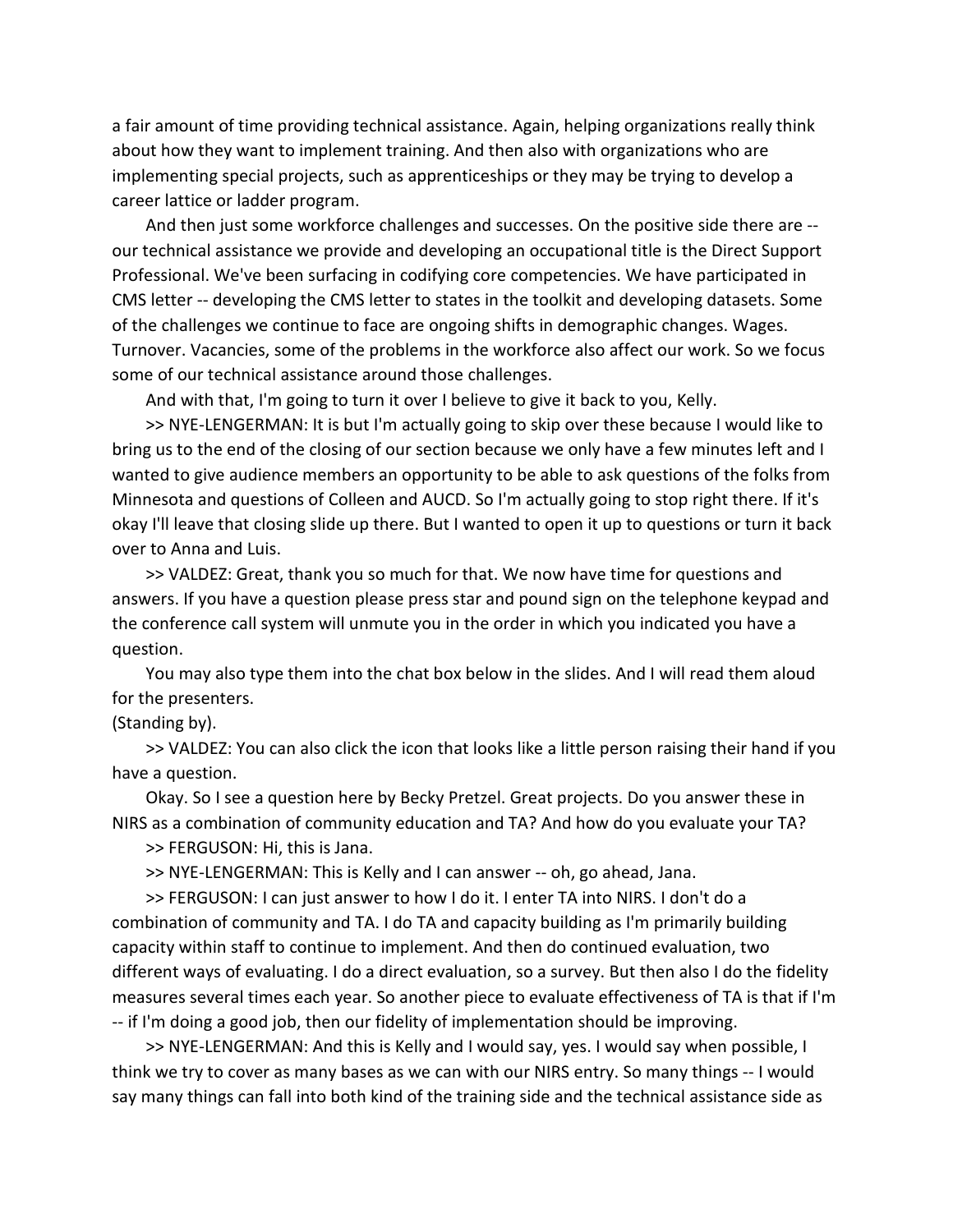a fair amount of time providing technical assistance. Again, helping organizations really think about how they want to implement training. And then also with organizations who are implementing special projects, such as apprenticeships or they may be trying to develop a career lattice or ladder program.

And then just some workforce challenges and successes. On the positive side there are - our technical assistance we provide and developing an occupational title is the Direct Support Professional. We've been surfacing in codifying core competencies. We have participated in CMS letter -- developing the CMS letter to states in the toolkit and developing datasets. Some of the challenges we continue to face are ongoing shifts in demographic changes. Wages. Turnover. Vacancies, some of the problems in the workforce also affect our work. So we focus some of our technical assistance around those challenges.

And with that, I'm going to turn it over I believe to give it back to you, Kelly.

>> NYE-LENGERMAN: It is but I'm actually going to skip over these because I would like to bring us to the end of the closing of our section because we only have a few minutes left and I wanted to give audience members an opportunity to be able to ask questions of the folks from Minnesota and questions of Colleen and AUCD. So I'm actually going to stop right there. If it's okay I'll leave that closing slide up there. But I wanted to open it up to questions or turn it back over to Anna and Luis.

>> VALDEZ: Great, thank you so much for that. We now have time for questions and answers. If you have a question please press star and pound sign on the telephone keypad and the conference call system will unmute you in the order in which you indicated you have a question.

You may also type them into the chat box below in the slides. And I will read them aloud for the presenters.

## (Standing by).

>> VALDEZ: You can also click the icon that looks like a little person raising their hand if you have a question.

Okay. So I see a question here by Becky Pretzel. Great projects. Do you answer these in NIRS as a combination of community education and TA? And how do you evaluate your TA?

>> FERGUSON: Hi, this is Jana.

>> NYE-LENGERMAN: This is Kelly and I can answer -- oh, go ahead, Jana.

>> FERGUSON: I can just answer to how I do it. I enter TA into NIRS. I don't do a combination of community and TA. I do TA and capacity building as I'm primarily building capacity within staff to continue to implement. And then do continued evaluation, two different ways of evaluating. I do a direct evaluation, so a survey. But then also I do the fidelity measures several times each year. So another piece to evaluate effectiveness of TA is that if I'm -- if I'm doing a good job, then our fidelity of implementation should be improving.

>> NYE-LENGERMAN: And this is Kelly and I would say, yes. I would say when possible, I think we try to cover as many bases as we can with our NIRS entry. So many things -- I would say many things can fall into both kind of the training side and the technical assistance side as